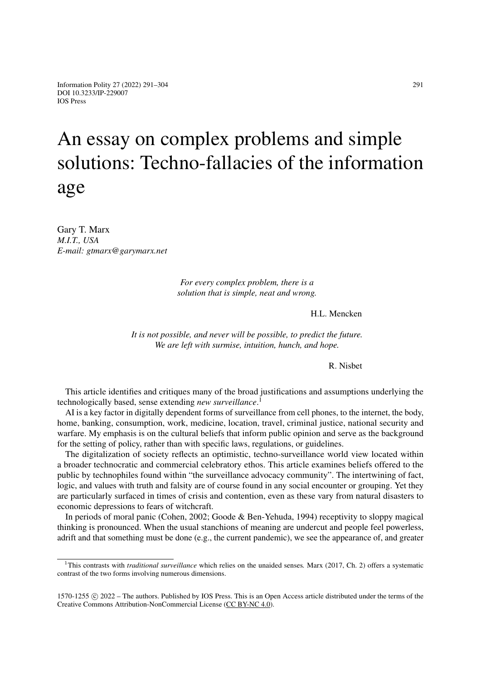Gary T. Marx *M.I.T., USA E-mail: gtmarx@garymarx.net*

> *For every complex problem, there is a solution that is simple, neat and wrong.*

> > H.L. Mencken

*It is not possible, and never will be possible, to predict the future. We are left with surmise, intuition, hunch, and hope.*

R. Nisbet

This article identifies and critiques many of the broad justifications and assumptions underlying the technologically based, sense extending *new surveillance*. [1](#page-0-0)

AI is a key factor in digitally dependent forms of surveillance from cell phones, to the internet, the body, home, banking, consumption, work, medicine, location, travel, criminal justice, national security and warfare. My emphasis is on the cultural beliefs that inform public opinion and serve as the background for the setting of policy, rather than with specific laws, regulations, or guidelines.

The digitalization of society reflects an optimistic, techno-surveillance world view located within a broader technocratic and commercial celebratory ethos. This article examines beliefs offered to the public by technophiles found within "the surveillance advocacy community". The intertwining of fact, logic, and values with truth and falsity are of course found in any social encounter or grouping. Yet they are particularly surfaced in times of crisis and contention, even as these vary from natural disasters to economic depressions to fears of witchcraft.

In periods of moral panic (Cohen, 2002; Goode & Ben-Yehuda, 1994) receptivity to sloppy magical thinking is pronounced. When the usual stanchions of meaning are undercut and people feel powerless, adrift and that something must be done (e.g., the current pandemic), we see the appearance of, and greater

<span id="page-0-0"></span><sup>&</sup>lt;sup>1</sup>This contrasts with *traditional surveillance* which relies on the unaided senses. Marx (2017, Ch. 2) offers a systematic contrast of the two forms involving numerous dimensions.

<sup>1570-1255</sup> c 2022 – The authors. Published by IOS Press. This is an Open Access article distributed under the terms of the Creative Commons Attribution-NonCommercial License [\(CC BY-NC 4.0\)](https://creativecommons.org/licenses/by-nc/4.0/).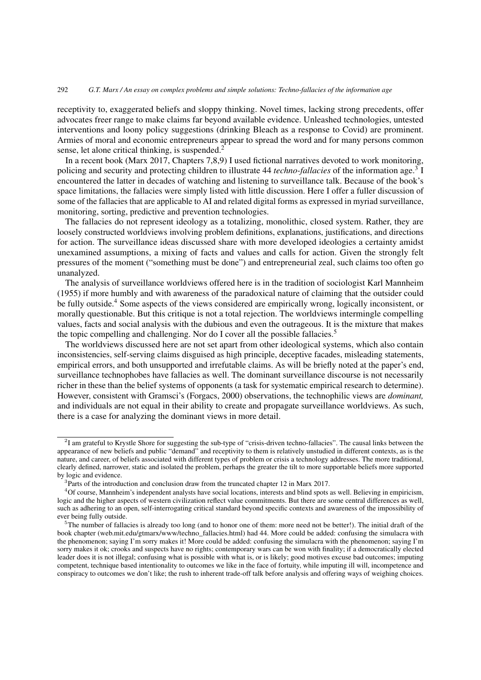receptivity to, exaggerated beliefs and sloppy thinking. Novel times, lacking strong precedents, offer advocates freer range to make claims far beyond available evidence. Unleashed technologies, untested interventions and loony policy suggestions (drinking Bleach as a response to Covid) are prominent. Armies of moral and economic entrepreneurs appear to spread the word and for many persons common sense, let alone critical thinking, is suspended.<sup>[2](#page-1-0)</sup>

In a recent book (Marx 2017, Chapters 7,8,9) I used fictional narratives devoted to work monitoring, policing and security and protecting children to illustrate 44 *techno-fallacies* of the information age.<sup>[3](#page-1-1)</sup> I encountered the latter in decades of watching and listening to surveillance talk. Because of the book's space limitations, the fallacies were simply listed with little discussion. Here I offer a fuller discussion of some of the fallacies that are applicable to AI and related digital forms as expressed in myriad surveillance, monitoring, sorting, predictive and prevention technologies.

The fallacies do not represent ideology as a totalizing, monolithic, closed system. Rather, they are loosely constructed worldviews involving problem definitions, explanations, justifications, and directions for action. The surveillance ideas discussed share with more developed ideologies a certainty amidst unexamined assumptions, a mixing of facts and values and calls for action. Given the strongly felt pressures of the moment ("something must be done") and entrepreneurial zeal, such claims too often go unanalyzed.

The analysis of surveillance worldviews offered here is in the tradition of sociologist Karl Mannheim (1955) if more humbly and with awareness of the paradoxical nature of claiming that the outsider could be fully outside.[4](#page-1-2) Some aspects of the views considered are empirically wrong, logically inconsistent, or morally questionable. But this critique is not a total rejection. The worldviews intermingle compelling values, facts and social analysis with the dubious and even the outrageous. It is the mixture that makes the topic compelling and challenging. Nor do I cover all the possible fallacies.<sup>[5](#page-1-3)</sup>

The worldviews discussed here are not set apart from other ideological systems, which also contain inconsistencies, self-serving claims disguised as high principle, deceptive facades, misleading statements, empirical errors, and both unsupported and irrefutable claims. As will be briefly noted at the paper's end, surveillance technophobes have fallacies as well. The dominant surveillance discourse is not necessarily richer in these than the belief systems of opponents (a task for systematic empirical research to determine). However, consistent with Gramsci's (Forgacs, 2000) observations, the technophilic views are *dominant,* and individuals are not equal in their ability to create and propagate surveillance worldviews. As such, there is a case for analyzing the dominant views in more detail.

<span id="page-1-0"></span> $2$ I am grateful to Krystle Shore for suggesting the sub-type of "crisis-driven techno-fallacies". The causal links between the appearance of new beliefs and public "demand" and receptivity to them is relatively unstudied in different contexts, as is the nature, and career, of beliefs associated with different types of problem or crisis a technology addresses. The more traditional, clearly defined, narrower, static and isolated the problem, perhaps the greater the tilt to more supportable beliefs more supported by logic and evidence.

<span id="page-1-2"></span><span id="page-1-1"></span><sup>&</sup>lt;sup>3</sup>Parts of the introduction and conclusion draw from the truncated chapter 12 in Marx 2017.

<sup>4</sup>Of course, Mannheim's independent analysts have social locations, interests and blind spots as well. Believing in empiricism, logic and the higher aspects of western civilization reflect value commitments. But there are some central differences as well, such as adhering to an open, self-interrogating critical standard beyond specific contexts and awareness of the impossibility of ever being fully outside.

<span id="page-1-3"></span><sup>&</sup>lt;sup>5</sup>The number of fallacies is already too long (and to honor one of them: more need not be better!). The initial draft of the book chapter (web.mit.edu/gtmarx/www/techno\_fallacies.html) had 44. More could be added: confusing the simulacra with the phenomenon; saying I'm sorry makes it! More could be added: confusing the simulacra with the phenomenon; saying I'm sorry makes it ok; crooks and suspects have no rights; contemporary wars can be won with finality; if a democratically elected leader does it is not illegal; confusing what is possible with what is, or is likely; good motives excuse bad outcomes; imputing competent, technique based intentionality to outcomes we like in the face of fortuity, while imputing ill will, incompetence and conspiracy to outcomes we don't like; the rush to inherent trade-off talk before analysis and offering ways of weighing choices.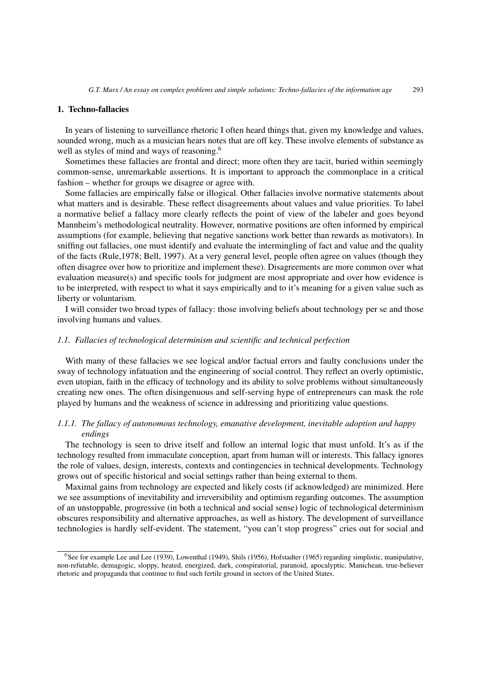## 1. Techno-fallacies

In years of listening to surveillance rhetoric I often heard things that, given my knowledge and values, sounded wrong, much as a musician hears notes that are off key. These involve elements of substance as well as styles of mind and ways of reasoning.<sup>[6](#page-2-0)</sup>

Sometimes these fallacies are frontal and direct; more often they are tacit, buried within seemingly common-sense, unremarkable assertions. It is important to approach the commonplace in a critical fashion – whether for groups we disagree or agree with.

Some fallacies are empirically false or illogical. Other fallacies involve normative statements about what matters and is desirable. These reflect disagreements about values and value priorities. To label a normative belief a fallacy more clearly reflects the point of view of the labeler and goes beyond Mannheim's methodological neutrality. However, normative positions are often informed by empirical assumptions (for example, believing that negative sanctions work better than rewards as motivators). In sniffing out fallacies, one must identify and evaluate the intermingling of fact and value and the quality of the facts (Rule,1978; Bell, 1997). At a very general level, people often agree on values (though they often disagree over how to prioritize and implement these). Disagreements are more common over what evaluation measure(s) and specific tools for judgment are most appropriate and over how evidence is to be interpreted, with respect to what it says empirically and to it's meaning for a given value such as liberty or voluntarism.

I will consider two broad types of fallacy: those involving beliefs about technology per se and those involving humans and values.

# *1.1. Fallacies of technological determinism and scientific and technical perfection*

With many of these fallacies we see logical and/or factual errors and faulty conclusions under the sway of technology infatuation and the engineering of social control. They reflect an overly optimistic, even utopian, faith in the efficacy of technology and its ability to solve problems without simultaneously creating new ones. The often disingenuous and self-serving hype of entrepreneurs can mask the role played by humans and the weakness of science in addressing and prioritizing value questions.

# *1.1.1. The fallacy of autonomous technology, emanative development, inevitable adoption and happy endings*

The technology is seen to drive itself and follow an internal logic that must unfold. It's as if the technology resulted from immaculate conception, apart from human will or interests. This fallacy ignores the role of values, design, interests, contexts and contingencies in technical developments. Technology grows out of specific historical and social settings rather than being external to them.

Maximal gains from technology are expected and likely costs (if acknowledged) are minimized. Here we see assumptions of inevitability and irreversibility and optimism regarding outcomes. The assumption of an unstoppable, progressive (in both a technical and social sense) logic of technological determinism obscures responsibility and alternative approaches, as well as history. The development of surveillance technologies is hardly self-evident. The statement, "you can't stop progress" cries out for social and

<span id="page-2-0"></span><sup>&</sup>lt;sup>6</sup>See for example Lee and Lee (1939), Lowenthal (1949), Shils (1956), Hofstadter (1965) regarding simplistic, manipulative, non-refutable, demagogic, sloppy, heated, energized, dark, conspiratorial, paranoid, apocalyptic, Manichean, true-believer rhetoric and propaganda that continue to find such fertile ground in sectors of the United States.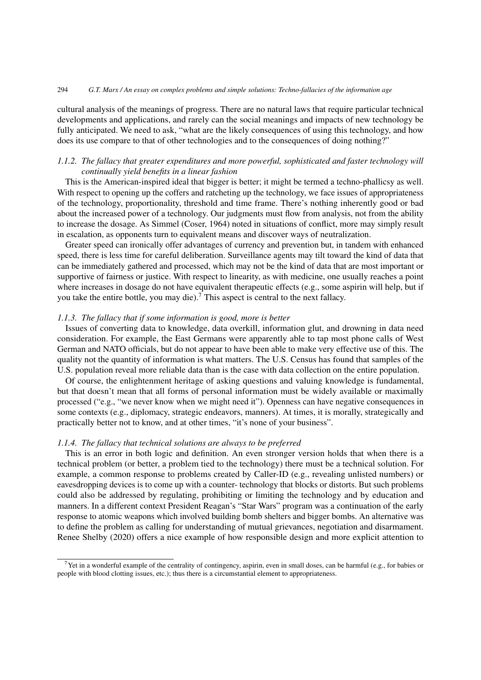cultural analysis of the meanings of progress. There are no natural laws that require particular technical developments and applications, and rarely can the social meanings and impacts of new technology be fully anticipated. We need to ask, "what are the likely consequences of using this technology, and how does its use compare to that of other technologies and to the consequences of doing nothing?"

# *1.1.2. The fallacy that greater expenditures and more powerful, sophisticated and faster technology will continually yield benefits in a linear fashion*

This is the American-inspired ideal that bigger is better; it might be termed a techno-phallicsy as well. With respect to opening up the coffers and ratcheting up the technology, we face issues of appropriateness of the technology, proportionality, threshold and time frame. There's nothing inherently good or bad about the increased power of a technology. Our judgments must flow from analysis, not from the ability to increase the dosage. As Simmel (Coser, 1964) noted in situations of conflict, more may simply result in escalation, as opponents turn to equivalent means and discover ways of neutralization.

Greater speed can ironically offer advantages of currency and prevention but, in tandem with enhanced speed, there is less time for careful deliberation. Surveillance agents may tilt toward the kind of data that can be immediately gathered and processed, which may not be the kind of data that are most important or supportive of fairness or justice. With respect to linearity, as with medicine, one usually reaches a point where increases in dosage do not have equivalent therapeutic effects (e.g., some aspirin will help, but if you take the entire bottle, you may die).<sup>[7](#page-3-0)</sup> This aspect is central to the next fallacy.

# *1.1.3. The fallacy that if some information is good, more is better*

Issues of converting data to knowledge, data overkill, information glut, and drowning in data need consideration. For example, the East Germans were apparently able to tap most phone calls of West German and NATO officials, but do not appear to have been able to make very effective use of this. The quality not the quantity of information is what matters. The U.S. Census has found that samples of the U.S. population reveal more reliable data than is the case with data collection on the entire population.

Of course, the enlightenment heritage of asking questions and valuing knowledge is fundamental, but that doesn't mean that all forms of personal information must be widely available or maximally processed ("e.g., "we never know when we might need it"). Openness can have negative consequences in some contexts (e.g., diplomacy, strategic endeavors, manners). At times, it is morally, strategically and practically better not to know, and at other times, "it's none of your business".

#### *1.1.4. The fallacy that technical solutions are always to be preferred*

This is an error in both logic and definition. An even stronger version holds that when there is a technical problem (or better, a problem tied to the technology) there must be a technical solution. For example, a common response to problems created by Caller-ID (e.g., revealing unlisted numbers) or eavesdropping devices is to come up with a counter- technology that blocks or distorts. But such problems could also be addressed by regulating, prohibiting or limiting the technology and by education and manners. In a different context President Reagan's "Star Wars" program was a continuation of the early response to atomic weapons which involved building bomb shelters and bigger bombs. An alternative was to define the problem as calling for understanding of mutual grievances, negotiation and disarmament. Renee Shelby (2020) offers a nice example of how responsible design and more explicit attention to

<span id="page-3-0"></span><sup>&</sup>lt;sup>7</sup>Yet in a wonderful example of the centrality of contingency, aspirin, even in small doses, can be harmful (e.g., for babies or people with blood clotting issues, etc.); thus there is a circumstantial element to appropriateness.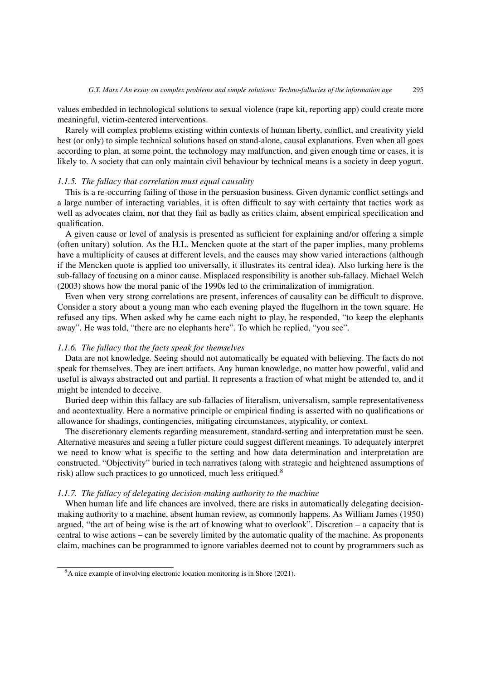values embedded in technological solutions to sexual violence (rape kit, reporting app) could create more meaningful, victim-centered interventions.

Rarely will complex problems existing within contexts of human liberty, conflict, and creativity yield best (or only) to simple technical solutions based on stand-alone, causal explanations. Even when all goes according to plan, at some point, the technology may malfunction, and given enough time or cases, it is likely to. A society that can only maintain civil behaviour by technical means is a society in deep yogurt.

# *1.1.5. The fallacy that correlation must equal causality*

This is a re-occurring failing of those in the persuasion business. Given dynamic conflict settings and a large number of interacting variables, it is often difficult to say with certainty that tactics work as well as advocates claim, nor that they fail as badly as critics claim, absent empirical specification and qualification.

A given cause or level of analysis is presented as sufficient for explaining and/or offering a simple (often unitary) solution. As the H.L. Mencken quote at the start of the paper implies, many problems have a multiplicity of causes at different levels, and the causes may show varied interactions (although if the Mencken quote is applied too universally, it illustrates its central idea). Also lurking here is the sub-fallacy of focusing on a minor cause. Misplaced responsibility is another sub-fallacy. Michael Welch (2003) shows how the moral panic of the 1990s led to the criminalization of immigration.

Even when very strong correlations are present, inferences of causality can be difficult to disprove. Consider a story about a young man who each evening played the flugelhorn in the town square. He refused any tips. When asked why he came each night to play, he responded, "to keep the elephants away". He was told, "there are no elephants here". To which he replied, "you see".

# *1.1.6. The fallacy that the facts speak for themselves*

Data are not knowledge. Seeing should not automatically be equated with believing. The facts do not speak for themselves. They are inert artifacts. Any human knowledge, no matter how powerful, valid and useful is always abstracted out and partial. It represents a fraction of what might be attended to, and it might be intended to deceive.

Buried deep within this fallacy are sub-fallacies of literalism, universalism, sample representativeness and acontextuality. Here a normative principle or empirical finding is asserted with no qualifications or allowance for shadings, contingencies, mitigating circumstances, atypicality, or context.

The discretionary elements regarding measurement, standard-setting and interpretation must be seen. Alternative measures and seeing a fuller picture could suggest different meanings. To adequately interpret we need to know what is specific to the setting and how data determination and interpretation are constructed. "Objectivity" buried in tech narratives (along with strategic and heightened assumptions of risk) allow such practices to go unnoticed, much less critiqued. $8$ 

#### *1.1.7. The fallacy of delegating decision-making authority to the machine*

When human life and life chances are involved, there are risks in automatically delegating decisionmaking authority to a machine, absent human review, as commonly happens. As William James (1950) argued, "the art of being wise is the art of knowing what to overlook". Discretion – a capacity that is central to wise actions – can be severely limited by the automatic quality of the machine. As proponents claim, machines can be programmed to ignore variables deemed not to count by programmers such as

<span id="page-4-0"></span><sup>&</sup>lt;sup>8</sup>A nice example of involving electronic location monitoring is in Shore (2021).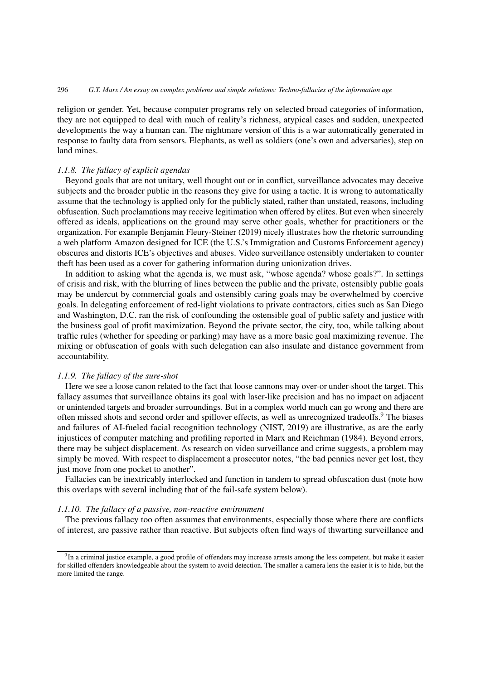religion or gender. Yet, because computer programs rely on selected broad categories of information, they are not equipped to deal with much of reality's richness, atypical cases and sudden, unexpected developments the way a human can. The nightmare version of this is a war automatically generated in response to faulty data from sensors. Elephants, as well as soldiers (one's own and adversaries), step on land mines.

# *1.1.8. The fallacy of explicit agendas*

Beyond goals that are not unitary, well thought out or in conflict, surveillance advocates may deceive subjects and the broader public in the reasons they give for using a tactic. It is wrong to automatically assume that the technology is applied only for the publicly stated, rather than unstated, reasons, including obfuscation. Such proclamations may receive legitimation when offered by elites. But even when sincerely offered as ideals, applications on the ground may serve other goals, whether for practitioners or the organization. For example Benjamin Fleury-Steiner (2019) nicely illustrates how the rhetoric surrounding a web platform Amazon designed for ICE (the U.S.'s Immigration and Customs Enforcement agency) obscures and distorts ICE's objectives and abuses. Video surveillance ostensibly undertaken to counter theft has been used as a cover for gathering information during unionization drives.

In addition to asking what the agenda is, we must ask, "whose agenda? whose goals?". In settings of crisis and risk, with the blurring of lines between the public and the private, ostensibly public goals may be undercut by commercial goals and ostensibly caring goals may be overwhelmed by coercive goals. In delegating enforcement of red-light violations to private contractors, cities such as San Diego and Washington, D.C. ran the risk of confounding the ostensible goal of public safety and justice with the business goal of profit maximization. Beyond the private sector, the city, too, while talking about traffic rules (whether for speeding or parking) may have as a more basic goal maximizing revenue. The mixing or obfuscation of goals with such delegation can also insulate and distance government from accountability.

## *1.1.9. The fallacy of the sure-shot*

Here we see a loose canon related to the fact that loose cannons may over-or under-shoot the target. This fallacy assumes that surveillance obtains its goal with laser-like precision and has no impact on adjacent or unintended targets and broader surroundings. But in a complex world much can go wrong and there are often missed shots and second order and spillover effects, as well as unrecognized tradeoffs.[9](#page-5-0) The biases and failures of AI-fueled facial recognition technology (NIST, 2019) are illustrative, as are the early injustices of computer matching and profiling reported in Marx and Reichman (1984). Beyond errors, there may be subject displacement. As research on video surveillance and crime suggests, a problem may simply be moved. With respect to displacement a prosecutor notes, "the bad pennies never get lost, they just move from one pocket to another".

Fallacies can be inextricably interlocked and function in tandem to spread obfuscation dust (note how this overlaps with several including that of the fail-safe system below).

# *1.1.10. The fallacy of a passive, non-reactive environment*

The previous fallacy too often assumes that environments, especially those where there are conflicts of interest, are passive rather than reactive. But subjects often find ways of thwarting surveillance and

<span id="page-5-0"></span> $9$ In a criminal justice example, a good profile of offenders may increase arrests among the less competent, but make it easier for skilled offenders knowledgeable about the system to avoid detection. The smaller a camera lens the easier it is to hide, but the more limited the range.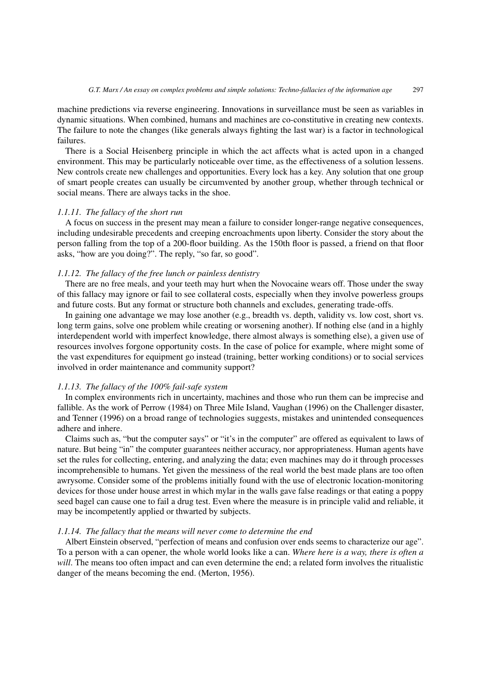machine predictions via reverse engineering. Innovations in surveillance must be seen as variables in dynamic situations. When combined, humans and machines are co-constitutive in creating new contexts. The failure to note the changes (like generals always fighting the last war) is a factor in technological failures.

There is a Social Heisenberg principle in which the act affects what is acted upon in a changed environment. This may be particularly noticeable over time, as the effectiveness of a solution lessens. New controls create new challenges and opportunities. Every lock has a key. Any solution that one group of smart people creates can usually be circumvented by another group, whether through technical or social means. There are always tacks in the shoe.

# *1.1.11. The fallacy of the short run*

A focus on success in the present may mean a failure to consider longer-range negative consequences, including undesirable precedents and creeping encroachments upon liberty. Consider the story about the person falling from the top of a 200-floor building. As the 150th floor is passed, a friend on that floor asks, "how are you doing?". The reply, "so far, so good".

# *1.1.12. The fallacy of the free lunch or painless dentistry*

There are no free meals, and your teeth may hurt when the Novocaine wears off. Those under the sway of this fallacy may ignore or fail to see collateral costs, especially when they involve powerless groups and future costs. But any format or structure both channels and excludes, generating trade-offs.

In gaining one advantage we may lose another (e.g., breadth vs. depth, validity vs. low cost, short vs. long term gains, solve one problem while creating or worsening another). If nothing else (and in a highly interdependent world with imperfect knowledge, there almost always is something else), a given use of resources involves forgone opportunity costs. In the case of police for example, where might some of the vast expenditures for equipment go instead (training, better working conditions) or to social services involved in order maintenance and community support?

## *1.1.13. The fallacy of the 100% fail-safe system*

In complex environments rich in uncertainty, machines and those who run them can be imprecise and fallible. As the work of Perrow (1984) on Three Mile Island, Vaughan (1996) on the Challenger disaster, and Tenner (1996) on a broad range of technologies suggests, mistakes and unintended consequences adhere and inhere.

Claims such as, "but the computer says" or "it's in the computer" are offered as equivalent to laws of nature. But being "in" the computer guarantees neither accuracy, nor appropriateness. Human agents have set the rules for collecting, entering, and analyzing the data; even machines may do it through processes incomprehensible to humans. Yet given the messiness of the real world the best made plans are too often awrysome. Consider some of the problems initially found with the use of electronic location-monitoring devices for those under house arrest in which mylar in the walls gave false readings or that eating a poppy seed bagel can cause one to fail a drug test. Even where the measure is in principle valid and reliable, it may be incompetently applied or thwarted by subjects.

## *1.1.14. The fallacy that the means will never come to determine the end*

Albert Einstein observed, "perfection of means and confusion over ends seems to characterize our age". To a person with a can opener, the whole world looks like a can. *Where here is a way, there is often a will*. The means too often impact and can even determine the end; a related form involves the ritualistic danger of the means becoming the end. (Merton, 1956).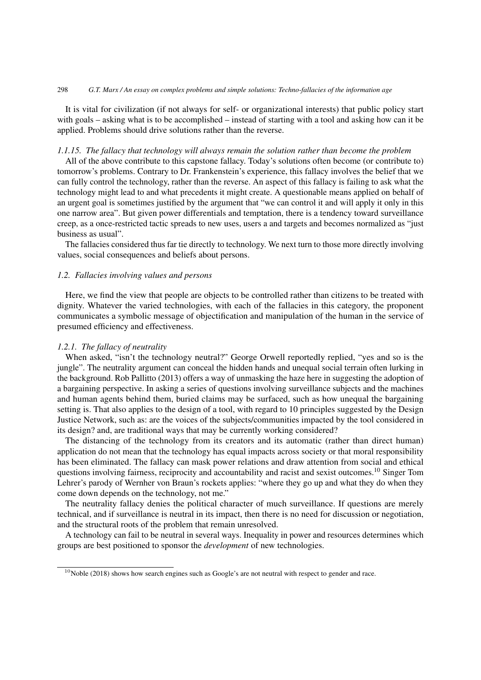It is vital for civilization (if not always for self- or organizational interests) that public policy start with goals – asking what is to be accomplished – instead of starting with a tool and asking how can it be applied. Problems should drive solutions rather than the reverse.

## *1.1.15. The fallacy that technology will always remain the solution rather than become the problem*

All of the above contribute to this capstone fallacy. Today's solutions often become (or contribute to) tomorrow's problems. Contrary to Dr. Frankenstein's experience, this fallacy involves the belief that we can fully control the technology, rather than the reverse. An aspect of this fallacy is failing to ask what the technology might lead to and what precedents it might create. A questionable means applied on behalf of an urgent goal is sometimes justified by the argument that "we can control it and will apply it only in this one narrow area". But given power differentials and temptation, there is a tendency toward surveillance creep, as a once-restricted tactic spreads to new uses, users a and targets and becomes normalized as "just business as usual".

The fallacies considered thus far tie directly to technology. We next turn to those more directly involving values, social consequences and beliefs about persons.

# *1.2. Fallacies involving values and persons*

Here, we find the view that people are objects to be controlled rather than citizens to be treated with dignity. Whatever the varied technologies, with each of the fallacies in this category, the proponent communicates a symbolic message of objectification and manipulation of the human in the service of presumed efficiency and effectiveness.

#### *1.2.1. The fallacy of neutrality*

When asked, "isn't the technology neutral?" George Orwell reportedly replied, "yes and so is the jungle". The neutrality argument can conceal the hidden hands and unequal social terrain often lurking in the background. Rob Pallitto (2013) offers a way of unmasking the haze here in suggesting the adoption of a bargaining perspective. In asking a series of questions involving surveillance subjects and the machines and human agents behind them, buried claims may be surfaced, such as how unequal the bargaining setting is. That also applies to the design of a tool, with regard to 10 principles suggested by the Design Justice Network, such as: are the voices of the subjects/communities impacted by the tool considered in its design? and, are traditional ways that may be currently working considered?

The distancing of the technology from its creators and its automatic (rather than direct human) application do not mean that the technology has equal impacts across society or that moral responsibility has been eliminated. The fallacy can mask power relations and draw attention from social and ethical questions involving fairness, reciprocity and accountability and racist and sexist outcomes.[10](#page-7-0) Singer Tom Lehrer's parody of Wernher von Braun's rockets applies: "where they go up and what they do when they come down depends on the technology, not me."

The neutrality fallacy denies the political character of much surveillance. If questions are merely technical, and if surveillance is neutral in its impact, then there is no need for discussion or negotiation, and the structural roots of the problem that remain unresolved.

A technology can fail to be neutral in several ways. Inequality in power and resources determines which groups are best positioned to sponsor the *development* of new technologies.

<span id="page-7-0"></span> $10N$ oble (2018) shows how search engines such as Google's are not neutral with respect to gender and race.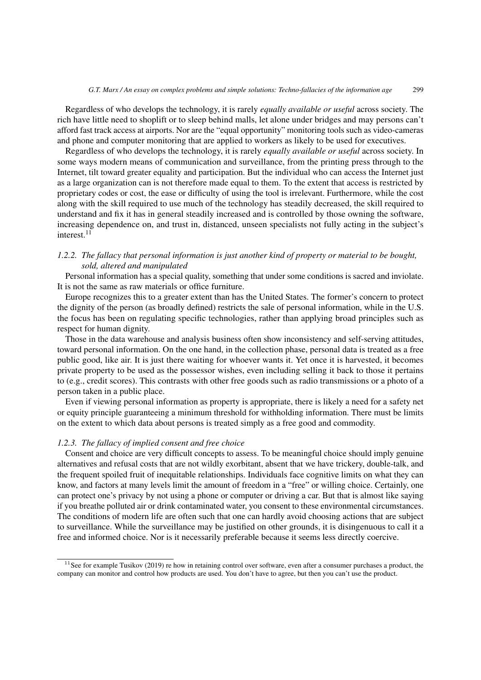Regardless of who develops the technology, it is rarely *equally available or useful* across society. The rich have little need to shoplift or to sleep behind malls, let alone under bridges and may persons can't afford fast track access at airports. Nor are the "equal opportunity" monitoring tools such as video-cameras and phone and computer monitoring that are applied to workers as likely to be used for executives.

Regardless of who develops the technology, it is rarely *equally available or useful* across society. In some ways modern means of communication and surveillance, from the printing press through to the Internet, tilt toward greater equality and participation. But the individual who can access the Internet just as a large organization can is not therefore made equal to them. To the extent that access is restricted by proprietary codes or cost, the ease or difficulty of using the tool is irrelevant. Furthermore, while the cost along with the skill required to use much of the technology has steadily decreased, the skill required to understand and fix it has in general steadily increased and is controlled by those owning the software, increasing dependence on, and trust in, distanced, unseen specialists not fully acting in the subject's interest.<sup>[11](#page-8-0)</sup>

# *1.2.2. The fallacy that personal information is just another kind of property or material to be bought, sold, altered and manipulated*

Personal information has a special quality, something that under some conditions is sacred and inviolate. It is not the same as raw materials or office furniture.

Europe recognizes this to a greater extent than has the United States. The former's concern to protect the dignity of the person (as broadly defined) restricts the sale of personal information, while in the U.S. the focus has been on regulating specific technologies, rather than applying broad principles such as respect for human dignity.

Those in the data warehouse and analysis business often show inconsistency and self-serving attitudes, toward personal information. On the one hand, in the collection phase, personal data is treated as a free public good, like air. It is just there waiting for whoever wants it. Yet once it is harvested, it becomes private property to be used as the possessor wishes, even including selling it back to those it pertains to (e.g., credit scores). This contrasts with other free goods such as radio transmissions or a photo of a person taken in a public place.

Even if viewing personal information as property is appropriate, there is likely a need for a safety net or equity principle guaranteeing a minimum threshold for withholding information. There must be limits on the extent to which data about persons is treated simply as a free good and commodity.

#### *1.2.3. The fallacy of implied consent and free choice*

Consent and choice are very difficult concepts to assess. To be meaningful choice should imply genuine alternatives and refusal costs that are not wildly exorbitant, absent that we have trickery, double-talk, and the frequent spoiled fruit of inequitable relationships. Individuals face cognitive limits on what they can know, and factors at many levels limit the amount of freedom in a "free" or willing choice. Certainly, one can protect one's privacy by not using a phone or computer or driving a car. But that is almost like saying if you breathe polluted air or drink contaminated water, you consent to these environmental circumstances. The conditions of modern life are often such that one can hardly avoid choosing actions that are subject to surveillance. While the surveillance may be justified on other grounds, it is disingenuous to call it a free and informed choice. Nor is it necessarily preferable because it seems less directly coercive.

<span id="page-8-0"></span> $11$ See for example Tusikov (2019) re how in retaining control over software, even after a consumer purchases a product, the company can monitor and control how products are used. You don't have to agree, but then you can't use the product.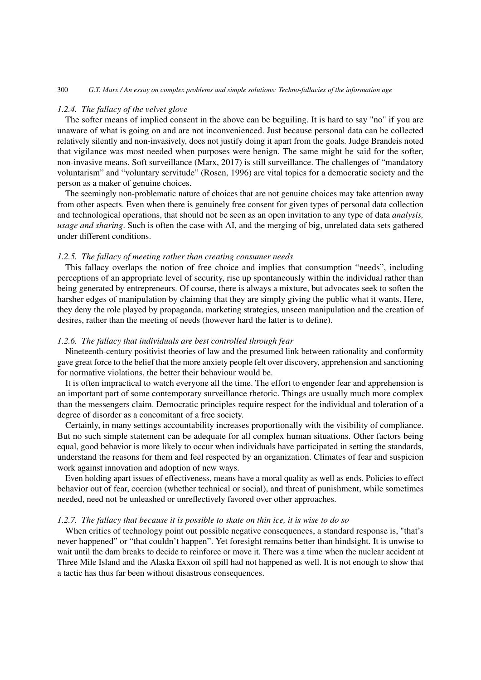#### *1.2.4. The fallacy of the velvet glove*

The softer means of implied consent in the above can be beguiling. It is hard to say "no" if you are unaware of what is going on and are not inconvenienced. Just because personal data can be collected relatively silently and non-invasively, does not justify doing it apart from the goals. Judge Brandeis noted that vigilance was most needed when purposes were benign. The same might be said for the softer, non-invasive means. Soft surveillance (Marx, 2017) is still surveillance. The challenges of "mandatory voluntarism" and "voluntary servitude" (Rosen, 1996) are vital topics for a democratic society and the person as a maker of genuine choices.

The seemingly non-problematic nature of choices that are not genuine choices may take attention away from other aspects. Even when there is genuinely free consent for given types of personal data collection and technological operations, that should not be seen as an open invitation to any type of data *analysis, usage and sharing*. Such is often the case with AI, and the merging of big, unrelated data sets gathered under different conditions.

## *1.2.5. The fallacy of meeting rather than creating consumer needs*

This fallacy overlaps the notion of free choice and implies that consumption "needs", including perceptions of an appropriate level of security, rise up spontaneously within the individual rather than being generated by entrepreneurs. Of course, there is always a mixture, but advocates seek to soften the harsher edges of manipulation by claiming that they are simply giving the public what it wants. Here, they deny the role played by propaganda, marketing strategies, unseen manipulation and the creation of desires, rather than the meeting of needs (however hard the latter is to define).

# *1.2.6. The fallacy that individuals are best controlled through fear*

Nineteenth-century positivist theories of law and the presumed link between rationality and conformity gave great force to the belief that the more anxiety people felt over discovery, apprehension and sanctioning for normative violations, the better their behaviour would be.

It is often impractical to watch everyone all the time. The effort to engender fear and apprehension is an important part of some contemporary surveillance rhetoric. Things are usually much more complex than the messengers claim. Democratic principles require respect for the individual and toleration of a degree of disorder as a concomitant of a free society.

Certainly, in many settings accountability increases proportionally with the visibility of compliance. But no such simple statement can be adequate for all complex human situations. Other factors being equal, good behavior is more likely to occur when individuals have participated in setting the standards, understand the reasons for them and feel respected by an organization. Climates of fear and suspicion work against innovation and adoption of new ways.

Even holding apart issues of effectiveness, means have a moral quality as well as ends. Policies to effect behavior out of fear, coercion (whether technical or social), and threat of punishment, while sometimes needed, need not be unleashed or unreflectively favored over other approaches.

#### *1.2.7. The fallacy that because it is possible to skate on thin ice, it is wise to do so*

When critics of technology point out possible negative consequences, a standard response is, "that's never happened" or "that couldn't happen". Yet foresight remains better than hindsight. It is unwise to wait until the dam breaks to decide to reinforce or move it. There was a time when the nuclear accident at Three Mile Island and the Alaska Exxon oil spill had not happened as well. It is not enough to show that a tactic has thus far been without disastrous consequences.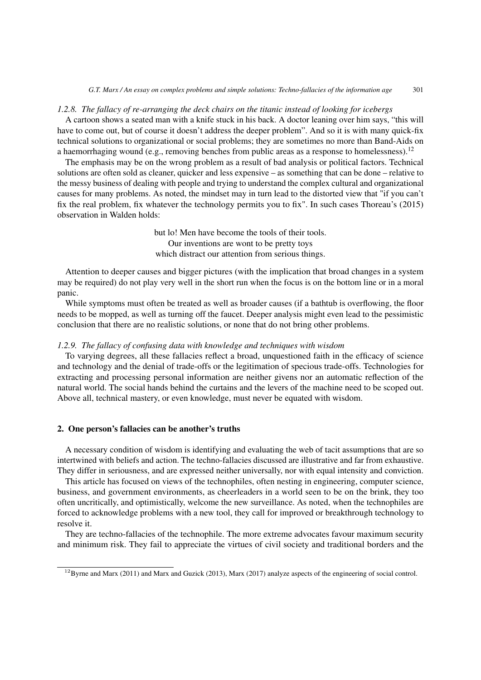#### *1.2.8. The fallacy of re-arranging the deck chairs on the titanic instead of looking for icebergs*

A cartoon shows a seated man with a knife stuck in his back. A doctor leaning over him says, "this will have to come out, but of course it doesn't address the deeper problem". And so it is with many quick-fix technical solutions to organizational or social problems; they are sometimes no more than Band-Aids on a haemorrhaging wound (e.g., removing benches from public areas as a response to homelessness).<sup>[12](#page-10-0)</sup>

The emphasis may be on the wrong problem as a result of bad analysis or political factors. Technical solutions are often sold as cleaner, quicker and less expensive – as something that can be done – relative to the messy business of dealing with people and trying to understand the complex cultural and organizational causes for many problems. As noted, the mindset may in turn lead to the distorted view that "if you can't fix the real problem, fix whatever the technology permits you to fix". In such cases Thoreau's (2015) observation in Walden holds:

> but lo! Men have become the tools of their tools. Our inventions are wont to be pretty toys which distract our attention from serious things.

Attention to deeper causes and bigger pictures (with the implication that broad changes in a system may be required) do not play very well in the short run when the focus is on the bottom line or in a moral panic.

While symptoms must often be treated as well as broader causes (if a bathtub is overflowing, the floor needs to be mopped, as well as turning off the faucet. Deeper analysis might even lead to the pessimistic conclusion that there are no realistic solutions, or none that do not bring other problems.

# *1.2.9. The fallacy of confusing data with knowledge and techniques with wisdom*

To varying degrees, all these fallacies reflect a broad, unquestioned faith in the efficacy of science and technology and the denial of trade-offs or the legitimation of specious trade-offs. Technologies for extracting and processing personal information are neither givens nor an automatic reflection of the natural world. The social hands behind the curtains and the levers of the machine need to be scoped out. Above all, technical mastery, or even knowledge, must never be equated with wisdom.

# 2. One person's fallacies can be another's truths

A necessary condition of wisdom is identifying and evaluating the web of tacit assumptions that are so intertwined with beliefs and action. The techno-fallacies discussed are illustrative and far from exhaustive. They differ in seriousness, and are expressed neither universally, nor with equal intensity and conviction.

This article has focused on views of the technophiles, often nesting in engineering, computer science, business, and government environments, as cheerleaders in a world seen to be on the brink, they too often uncritically, and optimistically, welcome the new surveillance. As noted, when the technophiles are forced to acknowledge problems with a new tool, they call for improved or breakthrough technology to resolve it.

They are techno-fallacies of the technophile. The more extreme advocates favour maximum security and minimum risk. They fail to appreciate the virtues of civil society and traditional borders and the

<span id="page-10-0"></span> $12$ Byrne and Marx (2011) and Marx and Guzick (2013), Marx (2017) analyze aspects of the engineering of social control.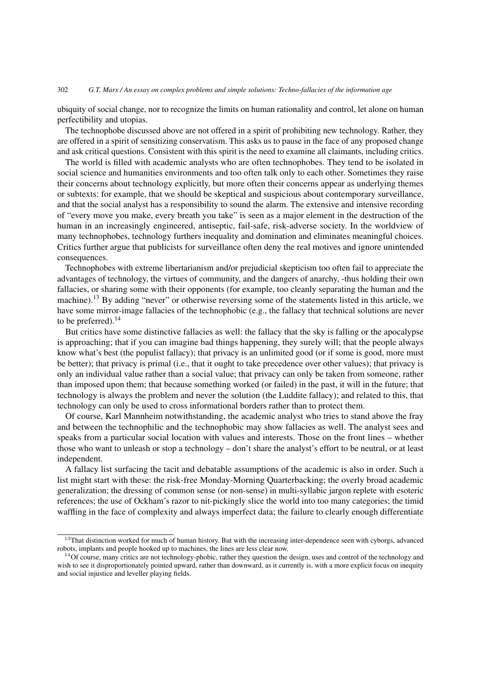ubiquity of social change, nor to recognize the limits on human rationality and control, let alone on human perfectibility and utopias.

The technophobe discussed above are not offered in a spirit of prohibiting new technology. Rather, they are offered in a spirit of sensitizing conservatism. This asks us to pause in the face of any proposed change and ask critical questions. Consistent with this spirit is the need to examine all claimants, including critics.

The world is filled with academic analysts who are often technophobes. They tend to be isolated in social science and humanities environments and too often talk only to each other. Sometimes they raise their concerns about technology explicitly, but more often their concerns appear as underlying themes or subtexts: for example, that we should be skeptical and suspicious about contemporary surveillance, and that the social analyst has a responsibility to sound the alarm. The extensive and intensive recording of "every move you make, every breath you take" is seen as a major element in the destruction of the human in an increasingly engineered, antiseptic, fail-safe, risk-adverse society. In the worldview of many technophobes, technology furthers inequality and domination and eliminates meaningful choices. Critics further argue that publicists for surveillance often deny the real motives and ignore unintended consequences.

Technophobes with extreme libertarianism and/or prejudicial skepticism too often fail to appreciate the advantages of technology, the virtues of community, and the dangers of anarchy, -thus holding their own fallacies, or sharing some with their opponents (for example, too cleanly separating the human and the machine).[13](#page-11-0) By adding "never" or otherwise reversing some of the statements listed in this article, we have some mirror-image fallacies of the technophobic (e.g., the fallacy that technical solutions are never to be preferred). $14$ 

But critics have some distinctive fallacies as well: the fallacy that the sky is falling or the apocalypse is approaching; that if you can imagine bad things happening, they surely will; that the people always know what's best (the populist fallacy); that privacy is an unlimited good (or if some is good, more must be better); that privacy is primal (i.e., that it ought to take precedence over other values); that privacy is only an individual value rather than a social value; that privacy can only be taken from someone, rather than imposed upon them; that because something worked (or failed) in the past, it will in the future; that technology is always the problem and never the solution (the Luddite fallacy); and related to this, that technology can only be used to cross informational borders rather than to protect them.

Of course, Karl Mannheim notwithstanding, the academic analyst who tries to stand above the fray and between the technophilic and the technophobic may show fallacies as well. The analyst sees and speaks from a particular social location with values and interests. Those on the front lines – whether those who want to unleash or stop a technology – don't share the analyst's effort to be neutral, or at least independent.

A fallacy list surfacing the tacit and debatable assumptions of the academic is also in order. Such a list might start with these: the risk-free Monday-Morning Quarterbacking; the overly broad academic generalization; the dressing of common sense (or non-sense) in multi-syllabic jargon replete with esoteric references; the use of Ockham's razor to nit-pickingly slice the world into too many categories; the timid waffling in the face of complexity and always imperfect data; the failure to clearly enough differentiate

<span id="page-11-0"></span><sup>&</sup>lt;sup>13</sup>That distinction worked for much of human history. But with the increasing inter-dependence seen with cyborgs, advanced robots, implants and people hooked up to machines, the lines are less clear now.

<span id="page-11-1"></span> $14$ Of course, many critics are not technology-phobic, rather they question the design, uses and control of the technology and wish to see it disproportionately pointed upward, rather than downward, as it currently is, with a more explicit focus on inequity and social injustice and leveller playing fields.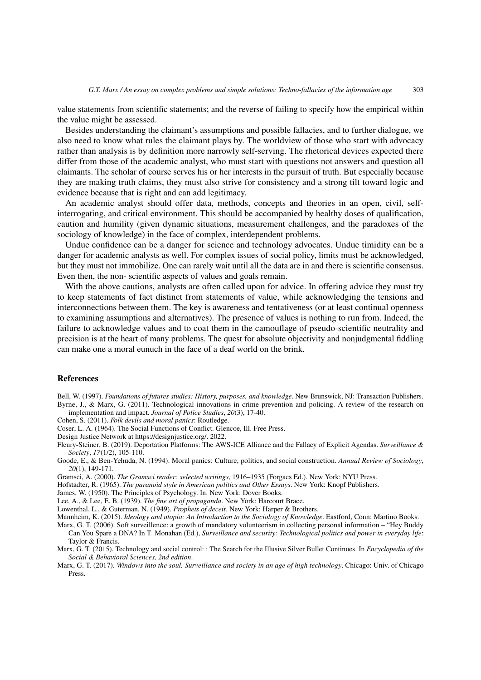value statements from scientific statements; and the reverse of failing to specify how the empirical within the value might be assessed.

Besides understanding the claimant's assumptions and possible fallacies, and to further dialogue, we also need to know what rules the claimant plays by. The worldview of those who start with advocacy rather than analysis is by definition more narrowly self-serving. The rhetorical devices expected there differ from those of the academic analyst, who must start with questions not answers and question all claimants. The scholar of course serves his or her interests in the pursuit of truth. But especially because they are making truth claims, they must also strive for consistency and a strong tilt toward logic and evidence because that is right and can add legitimacy.

An academic analyst should offer data, methods, concepts and theories in an open, civil, selfinterrogating, and critical environment. This should be accompanied by healthy doses of qualification, caution and humility (given dynamic situations, measurement challenges, and the paradoxes of the sociology of knowledge) in the face of complex, interdependent problems.

Undue confidence can be a danger for science and technology advocates. Undue timidity can be a danger for academic analysts as well. For complex issues of social policy, limits must be acknowledged, but they must not immobilize. One can rarely wait until all the data are in and there is scientific consensus. Even then, the non- scientific aspects of values and goals remain.

With the above cautions, analysts are often called upon for advice. In offering advice they must try to keep statements of fact distinct from statements of value, while acknowledging the tensions and interconnections between them. The key is awareness and tentativeness (or at least continual openness to examining assumptions and alternatives). The presence of values is nothing to run from. Indeed, the failure to acknowledge values and to coat them in the camouflage of pseudo-scientific neutrality and precision is at the heart of many problems. The quest for absolute objectivity and nonjudgmental fiddling can make one a moral eunuch in the face of a deaf world on the brink.

# References

Bell, W. (1997). *Foundations of futures studies: History, purposes, and knowledge*. New Brunswick, NJ: Transaction Publishers. Byrne, J., & Marx, G. (2011). Technological innovations in crime prevention and policing. A review of the research on implementation and impact. *Journal of Police Studies*, *20*(3), 17-40.

- Cohen, S. (2011). *Folk devils and moral panics*: Routledge.
- Coser, L. A. (1964). The Social Functions of Conflict. Glencoe, Ill. Free Press.
- Design Justice Network at https://designjustice.org/. 2022.
- Fleury-Steiner, B. (2019). Deportation Platforms: The AWS-ICE Alliance and the Fallacy of Explicit Agendas. *Surveillance & Society*, *17*(1/2), 105-110.
- Goode, E., & Ben-Yehuda, N. (1994). Moral panics: Culture, politics, and social construction. *Annual Review of Sociology*, *20*(1), 149-171.
- Gramsci, A. (2000). *The Gramsci reader: selected writings*, 1916–1935 (Forgacs Ed.). New York: NYU Press.
- Hofstadter, R. (1965). *The paranoid style in American politics and Other Essays*. New York: Knopf Publishers.
- James, W. (1950). The Principles of Psychology. In. New York: Dover Books.

Lee, A., & Lee, E. B. (1939). *The fine art of propaganda*. New York: Harcourt Brace.

Lowenthal, L., & Guterman, N. (1949). *Prophets of deceit*. New York: Harper & Brothers.

Mannheim, K. (2015). *Ideology and utopia: An Introduction to the Sociology of Knowledge*. Eastford, Conn: Martino Books.

- Marx, G. T. (2006). Soft surveillence: a growth of mandatory volunteerism in collecting personal information "Hey Buddy Can You Spare a DNA? In T. Monahan (Ed.), *Surveillance and security: Technological politics and power in everyday life*: Taylor & Francis.
- Marx, G. T. (2015). Technology and social control: : The Search for the Illusive Silver Bullet Continues. In *Encyclopedia of the Social & Behavioral Sciences, 2nd edition*.
- Marx, G. T. (2017). *Windows into the soul. Surveillance and society in an age of high technology*. Chicago: Univ. of Chicago Press.